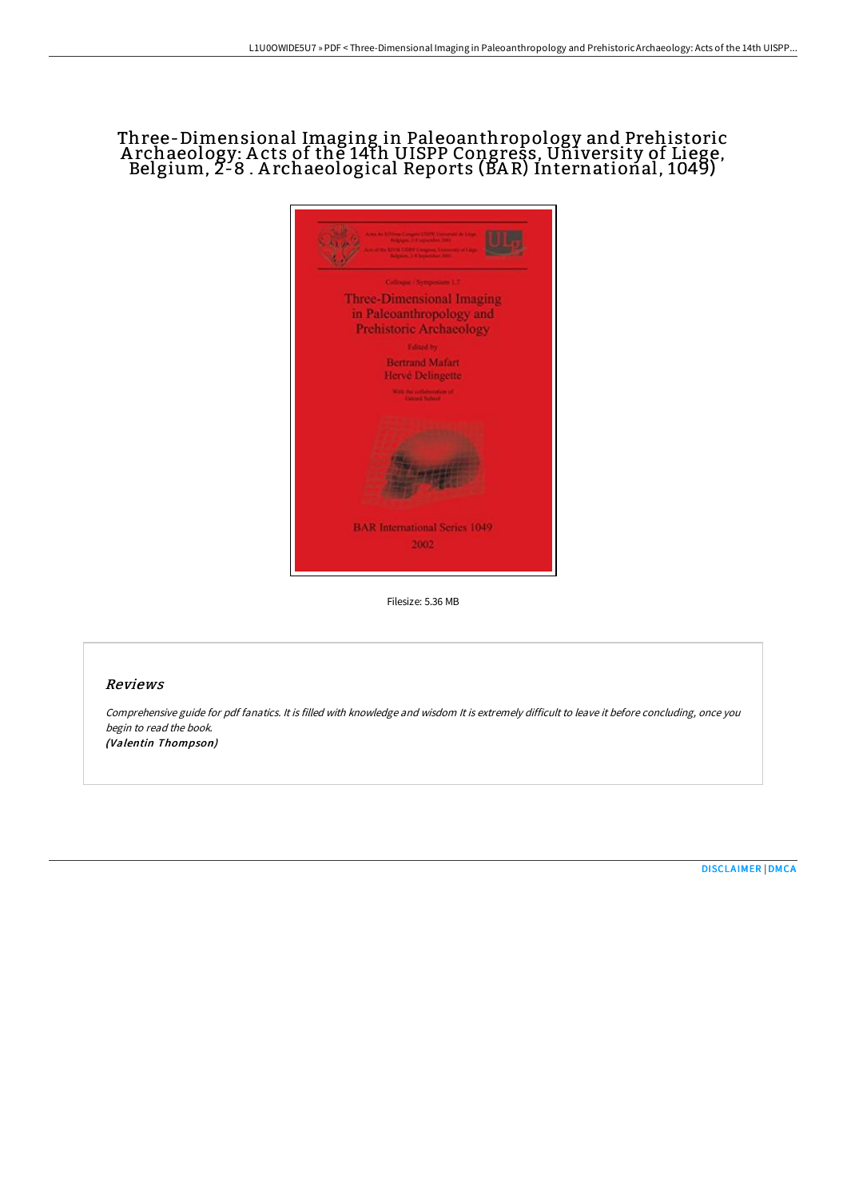# Three-Dimensional Imaging in Paleoanthropology and Prehistoric A rchaeology: A cts of the 14th UISPP Congress, University of Liege, Belgium, 2-8 . Archaeological Reports (BAR) International, 1049)



Filesize: 5.36 MB

## Reviews

Comprehensive guide for pdf fanatics. It is filled with knowledge and wisdom It is extremely difficult to leave it before concluding, once you begin to read the book. (Valentin Thompson)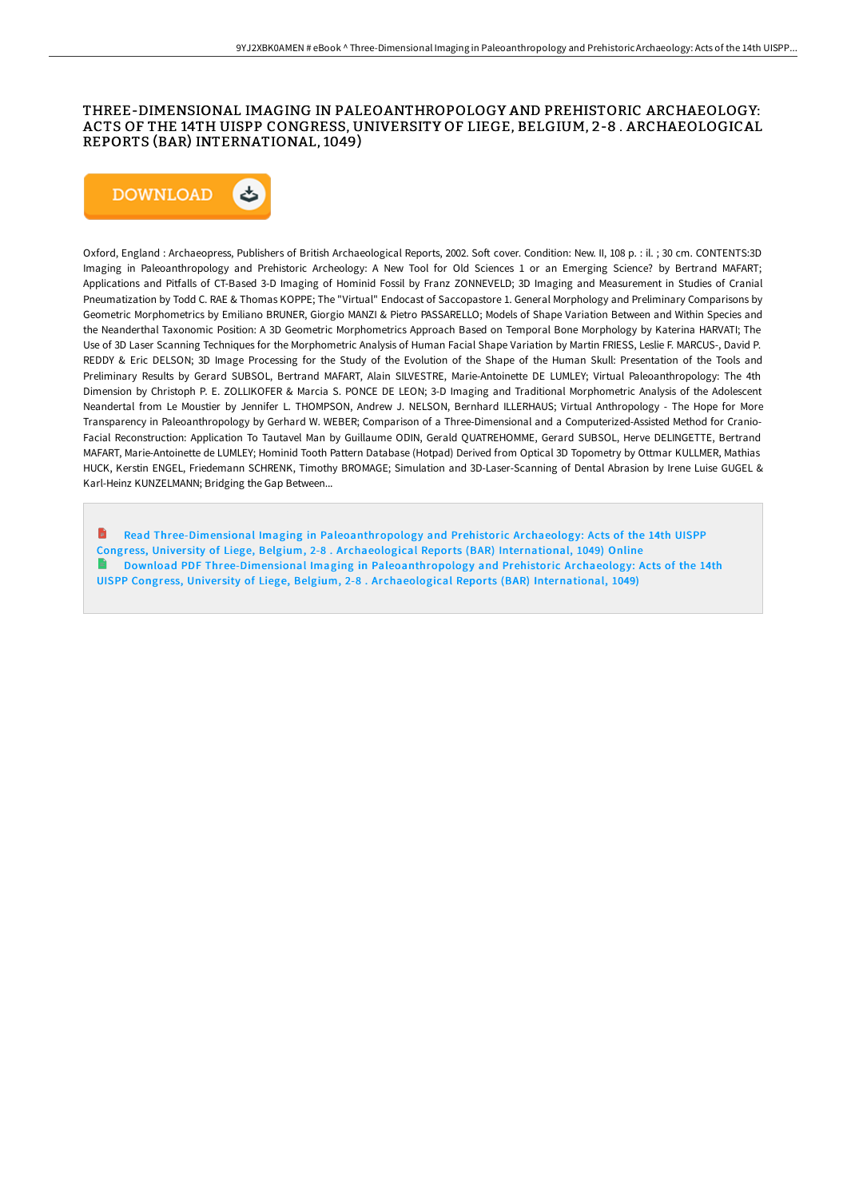## THREE-DIMENSIONAL IMAGING IN PALEOANTHROPOLOGY AND PREHISTORIC ARCHAEOLOGY: ACTS OF THE 14TH UISPP CONGRESS, UNIVERSITY OF LIEGE, BELGIUM, 2-8 . ARCHAEOLOGICAL REPORTS (BAR) INTERNATIONAL, 1049)



Oxford, England : Archaeopress, Publishers of British Archaeological Reports, 2002. Soft cover. Condition: New. II, 108 p. : il. ; 30 cm. CONTENTS:3D Imaging in Paleoanthropology and Prehistoric Archeology: A New Tool for Old Sciences 1 or an Emerging Science? by Bertrand MAFART; Applications and Pitfalls of CT-Based 3-D Imaging of Hominid Fossil by Franz ZONNEVELD; 3D Imaging and Measurement in Studies of Cranial Pneumatization by Todd C. RAE & Thomas KOPPE; The "Virtual" Endocast of Saccopastore 1. General Morphology and Preliminary Comparisons by Geometric Morphometrics by Emiliano BRUNER, Giorgio MANZI & Pietro PASSARELLO; Models of Shape Variation Between and Within Species and the Neanderthal Taxonomic Position: A 3D Geometric Morphometrics Approach Based on Temporal Bone Morphology by Katerina HARVATI; The Use of 3D Laser Scanning Techniques for the Morphometric Analysis of Human Facial Shape Variation by Martin FRIESS, Leslie F. MARCUS-, David P. REDDY & Eric DELSON; 3D Image Processing for the Study of the Evolution of the Shape of the Human Skull: Presentation of the Tools and Preliminary Results by Gerard SUBSOL, Bertrand MAFART, Alain SILVESTRE, Marie-Antoinette DE LUMLEY; Virtual Paleoanthropology: The 4th Dimension by Christoph P. E. ZOLLIKOFER & Marcia S. PONCE DE LEON; 3-D Imaging and Traditional Morphometric Analysis of the Adolescent Neandertal from Le Moustier by Jennifer L. THOMPSON, Andrew J. NELSON, Bernhard ILLERHAUS; Virtual Anthropology - The Hope for More Transparency in Paleoanthropology by Gerhard W. WEBER; Comparison of a Three-Dimensional and a Computerized-Assisted Method for Cranio-Facial Reconstruction: Application To Tautavel Man by Guillaume ODIN, Gerald QUATREHOMME, Gerard SUBSOL, Herve DELINGETTE, Bertrand MAFART, Marie-Antoinette de LUMLEY; Hominid Tooth Pattern Database (Hotpad) Derived from Optical 3D Topometry by Ottmar KULLMER, Mathias HUCK, Kerstin ENGEL, Friedemann SCHRENK, Timothy BROMAGE; Simulation and 3D-Laser-Scanning of Dental Abrasion by Irene Luise GUGEL & Karl-Heinz KUNZELMANN; Bridging the Gap Between...

Read Three-Dimensional Imaging in [Paleoanthropology](http://techno-pub.tech/three-dimensional-imaging-in-paleoanthropology-a.html) and Prehistoric Archaeology: Acts of the 14th UISPP Congress, University of Liege, Belgium, 2-8 . Archaeological Reports (BAR) International, 1049) Online Download PDF Three-Dimensional Imaging in [Paleoanthropology](http://techno-pub.tech/three-dimensional-imaging-in-paleoanthropology-a.html) and Prehistoric Ar chaeology: Acts of the 14th UISPP Congress, University of Liege, Belgium, 2-8. Archaeological Reports (BAR) International, 1049)